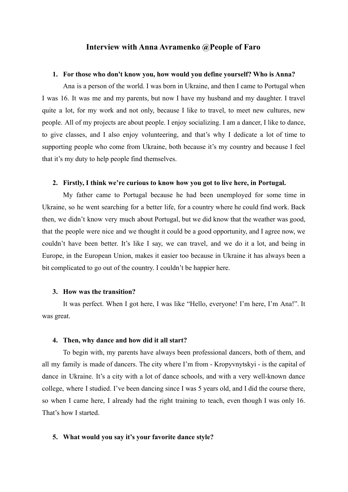# **Interview with Anna Avramenko @People of Faro**

#### **1. For those who don't know you, how would you define yourself? Who is Anna?**

Ana is a person of the world. I was born in Ukraine, and then I came to Portugal when I was 16. It was me and my parents, but now I have my husband and my daughter. I travel quite a lot, for my work and not only, because I like to travel, to meet new cultures, new people. All of my projects are about people. I enjoy socializing. I am a dancer, I like to dance, to give classes, and I also enjoy volunteering, and that's why I dedicate a lot of time to supporting people who come from Ukraine, both because it's my country and because I feel that it's my duty to help people find themselves.

# **2. Firstly, I think we're curious to know how you got to live here, in Portugal.**

My father came to Portugal because he had been unemployed for some time in Ukraine, so he went searching for a better life, for a country where he could find work. Back then, we didn't know very much about Portugal, but we did know that the weather was good, that the people were nice and we thought it could be a good opportunity, and I agree now, we couldn't have been better. It's like I say, we can travel, and we do it a lot, and being in Europe, in the European Union, makes it easier too because in Ukraine it has always been a bit complicated to go out of the country. I couldn't be happier here.

# **3. How was the transition?**

It was perfect. When I got here, I was like "Hello, everyone! I'm here, I'm Ana!". It was great.

#### **4. Then, why dance and how did it all start?**

To begin with, my parents have always been professional dancers, both of them, and all my family is made of dancers. The city where I'm from - Kropyvnytskyi - is the capital of dance in Ukraine. It's a city with a lot of dance schools, and with a very well-known dance college, where I studied. I've been dancing since I was 5 years old, and I did the course there, so when I came here, I already had the right training to teach, even though I was only 16. That's how I started.

## **5. What would you say it's your favorite dance style?**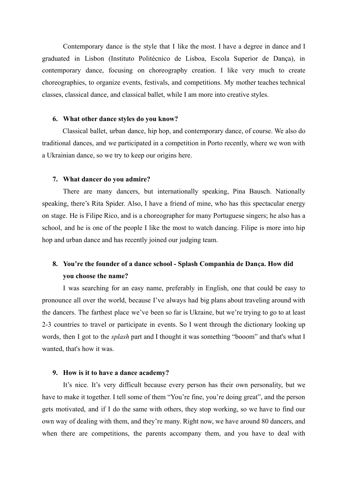Contemporary dance is the style that I like the most. I have a degree in dance and I graduated in Lisbon (Instituto Politécnico de Lisboa, Escola Superior de Dança), in contemporary dance, focusing on choreography creation. I like very much to create choreographies, to organize events, festivals, and competitions. My mother teaches technical classes, classical dance, and classical ballet, while I am more into creative styles.

# **6. What other dance styles do you know?**

Classical ballet, urban dance, hip hop, and contemporary dance, of course. We also do traditional dances, and we participated in a competition in Porto recently, where we won with a Ukrainian dance, so we try to keep our origins here.

## **7. What dancer do you admire?**

There are many dancers, but internationally speaking, Pina Bausch. Nationally speaking, there's Rita Spider. Also, I have a friend of mine, who has this spectacular energy on stage. He is Filipe Rico, and is a choreographer for many Portuguese singers; he also has a school, and he is one of the people I like the most to watch dancing. Filipe is more into hip hop and urban dance and has recently joined our judging team.

# **8. You're the founder of a dance school - Splash Companhia de Dança. How did you choose the name?**

I was searching for an easy name, preferably in English, one that could be easy to pronounce all over the world, because I've always had big plans about traveling around with the dancers. The farthest place we've been so far is Ukraine, but we're trying to go to at least 2-3 countries to travel or participate in events. So I went through the dictionary looking up words, then I got to the *splash* part and I thought it was something "booom" and that's what I wanted, that's how it was.

#### **9. How is it to have a dance academy?**

It's nice. It's very difficult because every person has their own personality, but we have to make it together. I tell some of them "You're fine, you're doing great", and the person gets motivated, and if I do the same with others, they stop working, so we have to find our own way of dealing with them, and they're many. Right now, we have around 80 dancers, and when there are competitions, the parents accompany them, and you have to deal with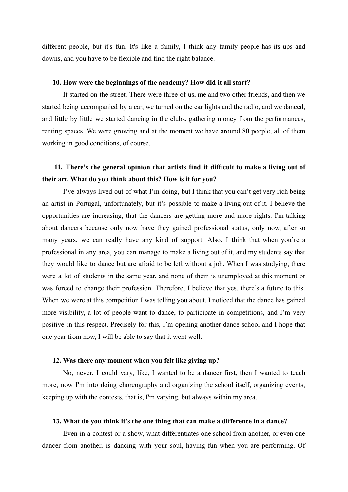different people, but it's fun. It's like a family, I think any family people has its ups and downs, and you have to be flexible and find the right balance.

# **10. How were the beginnings of the academy? How did it all start?**

It started on the street. There were three of us, me and two other friends, and then we started being accompanied by a car, we turned on the car lights and the radio, and we danced, and little by little we started dancing in the clubs, gathering money from the performances, renting spaces. We were growing and at the moment we have around 80 people, all of them working in good conditions, of course.

# **11. There's the general opinion that artists find it difficult to make a living out of their art. What do you think about this? How is it for you?**

I've always lived out of what I'm doing, but I think that you can't get very rich being an artist in Portugal, unfortunately, but it's possible to make a living out of it. I believe the opportunities are increasing, that the dancers are getting more and more rights. I'm talking about dancers because only now have they gained professional status, only now, after so many years, we can really have any kind of support. Also, I think that when you're a professional in any area, you can manage to make a living out of it, and my students say that they would like to dance but are afraid to be left without a job. When I was studying, there were a lot of students in the same year, and none of them is unemployed at this moment or was forced to change their profession. Therefore, I believe that yes, there's a future to this. When we were at this competition I was telling you about, I noticed that the dance has gained more visibility, a lot of people want to dance, to participate in competitions, and I'm very positive in this respect. Precisely for this, I'm opening another dance school and I hope that one year from now, I will be able to say that it went well.

# **12. Was there any moment when you felt like giving up?**

No, never. I could vary, like, I wanted to be a dancer first, then I wanted to teach more, now I'm into doing choreography and organizing the school itself, organizing events, keeping up with the contests, that is, I'm varying, but always within my area.

#### **13. What do you think it's the one thing that can make a difference in a dance?**

Even in a contest or a show, what differentiates one school from another, or even one dancer from another, is dancing with your soul, having fun when you are performing. Of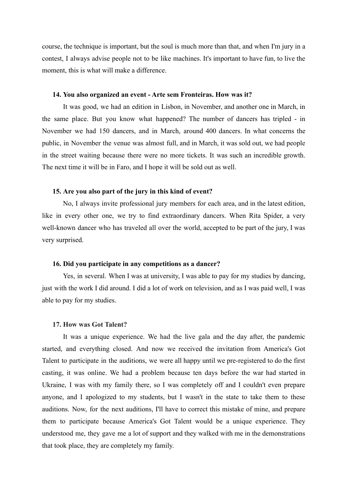course, the technique is important, but the soul is much more than that, and when I'm jury in a contest, I always advise people not to be like machines. It's important to have fun, to live the moment, this is what will make a difference.

#### **14. You also organized an event - Arte sem Fronteiras. How was it?**

It was good, we had an edition in Lisbon, in November, and another one in March, in the same place. But you know what happened? The number of dancers has tripled - in November we had 150 dancers, and in March, around 400 dancers. In what concerns the public, in November the venue was almost full, and in March, it was sold out, we had people in the street waiting because there were no more tickets. It was such an incredible growth. The next time it will be in Faro, and I hope it will be sold out as well.

#### **15. Are you also part of the jury in this kind of event?**

No, I always invite professional jury members for each area, and in the latest edition, like in every other one, we try to find extraordinary dancers. When Rita Spider, a very well-known dancer who has traveled all over the world, accepted to be part of the jury, I was very surprised.

#### **16. Did you participate in any competitions as a dancer?**

Yes, in several. When I was at university, I was able to pay for my studies by dancing, just with the work I did around. I did a lot of work on television, and as I was paid well, I was able to pay for my studies.

#### **17. How was Got Talent?**

It was a unique experience. We had the live gala and the day after, the pandemic started, and everything closed. And now we received the invitation from America's Got Talent to participate in the auditions, we were all happy until we pre-registered to do the first casting, it was online. We had a problem because ten days before the war had started in Ukraine, I was with my family there, so I was completely off and I couldn't even prepare anyone, and I apologized to my students, but I wasn't in the state to take them to these auditions. Now, for the next auditions, I'll have to correct this mistake of mine, and prepare them to participate because America's Got Talent would be a unique experience. They understood me, they gave me a lot of support and they walked with me in the demonstrations that took place, they are completely my family.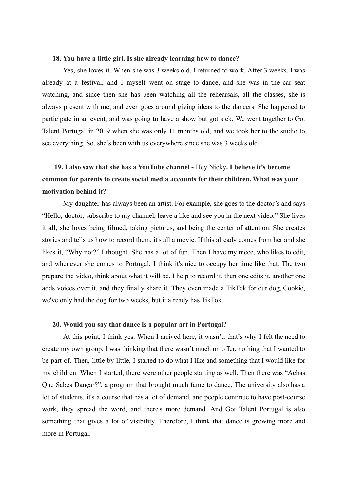#### **18. You have a little girl. Is she already learning how to dance?**

Yes, she loves it. When she was 3 weeks old, I returned to work. After 3 weeks, I was already at a festival, and I myself went on stage to dance, and she was in the car seat watching, and since then she has been watching all the rehearsals, all the classes, she is always present with me, and even goes around giving ideas to the dancers. She happened to participate in an event, and was going to have a show but got sick. We went together to Got Talent Portugal in 2019 when she was only 11 months old, and we took her to the studio to see everything. So, she's been with us everywhere since she was 3 weeks old.

# **19. I also saw that she has a YouTube channel -** Hey Nicky**. I believe it's become common for parents to create social media accounts for their children. What was your motivation behind it?**

My daughter has always been an artist. For example, she goes to the doctor's and says "Hello, doctor, subscribe to my channel, leave a like and see you in the next video." She lives it all, she loves being filmed, taking pictures, and being the center of attention. She creates stories and tells us how to record them, it's all a movie. If this already comes from her and she likes it, "Why not?" I thought. She has a lot of fun. Then I have my niece, who likes to edit, and whenever she comes to Portugal, I think it's nice to occupy her time like that. The two prepare the video, think about what it will be, I help to record it, then one edits it, another one adds voices over it, and they finally share it. They even made a TikTok for our dog, Cookie, we've only had the dog for two weeks, but it already has TikTok.

#### **20. Would you say that dance is a popular art in Portugal?**

At this point, I think yes. When I arrived here, it wasn't, that's why I felt the need to create my own group, I was thinking that there wasn't much on offer, nothing that I wanted to be part of. Then, little by little, I started to do what I like and something that I would like for my children. When I started, there were other people starting as well. Then there was "Achas Que Sabes Dançar?", a program that brought much fame to dance. The university also has a lot of students, it's a course that has a lot of demand, and people continue to have post-course work, they spread the word, and there's more demand. And Got Talent Portugal is also something that gives a lot of visibility. Therefore, I think that dance is growing more and more in Portugal.